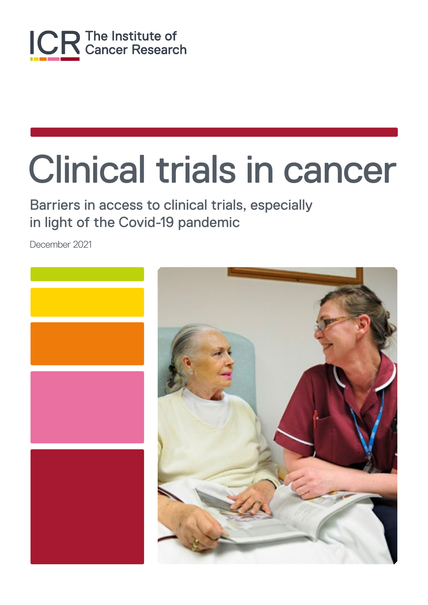

## Clinical trials in cancer

Barriers in access to clinical trials, especially in light of the Covid-19 pandemic

December 2021

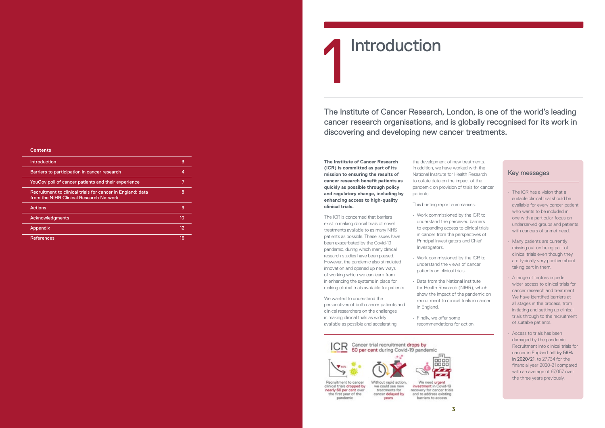**The Institute of Cancer Research (ICR) is committed as part of its mission to ensuring the results of cancer research benefit patients as quickly as possible through policy and regulatory change, including by enhancing access to high-quality clinical trials.** 

The ICR is concerned that barriers exist in making clinical trials of novel treatments available to as many NHS patients as possible. These issues have been exacerbated by the Covid-19 pandemic, during which many clinical research studies have been paused. However, the pandemic also stimulated innovation and opened up new ways of working which we can learn from in enhancing the systems in place for making clinical trials available for patients.

We wanted to understand the perspectives of both cancer patients and clinical researchers on the challenges in making clinical trials as widely available as possible and accelerating

The Institute of Cancer Research, London, is one of the world's leading cancer research organisations, and is globally recognised for its work in Introduction<br>The Institute of Cancer Research, London, is one of<br>cancer research organisations, and is globally recogre<br>discovering and developing new cancer treatments.

> the development of new treatments. In addition, we have worked with the National Institute for Health Research to collate data on the impact of the pandemic on provision of trials for cancer patients.

This briefing report summarises:

- Work commissioned by the ICR to understand the perceived barriers to expanding access to clinical trials in cancer from the perspectives of Principal Investigators and Chief Investigators.
- Work commissioned by the ICR to understand the views of cancer patients on clinical trials.
- Data from the National Institute for Health Research (NIHR), which show the impact of the pandemic on recruitment to clinical trials in cancer in England.
- Finally, we offer some recommendations for action.



Cancer trial recruitment drops by 60 per cent during Covid-19 pandemic







Recruitment to cancer clinical trials dropped by nearly 60 per cent over the first year of the<br>pandemic

Without rapid action we could see new treatments for cancer delayed by years

investment in Covid-19 recovery for cancer trials and to address existing barriers to access

| <b>Introduction</b>                                                                                   | 3  |
|-------------------------------------------------------------------------------------------------------|----|
| Barriers to participation in cancer research                                                          | 4  |
| YouGov poll of cancer patients and their experience                                                   |    |
| Recruitment to clinical trials for cancer in England: data<br>from the NIHR Clinical Research Network | 8  |
| <b>Actions</b>                                                                                        | 9  |
| Acknowledgments                                                                                       | 10 |
| Appendix                                                                                              | 12 |
| <b>References</b>                                                                                     | 16 |

## **Introduction**

- The ICR has a vision that a suitable clinical trial should be available for every cancer patient who wants to be included in one with a particular focus on underserved groups and patients with cancers of unmet need.
- Many patients are currently missing out on being part of clinical trials even though they are typically very positive about taking part in them.
- A range of factors impede wider access to clinical trials for cancer research and treatment. We have identified barriers at all stages in the process, from initiating and setting up clinical trials through to the recruitment of suitable patients.
- Access to trials has been damaged by the pandemic. Recruitment into clinical trials for cancer in England fell by 59% in 2020/21, to 27,734 for the financial year 2020-21 compared with an average of 67,057 over the three years previously.

### Key messages

### **Contents**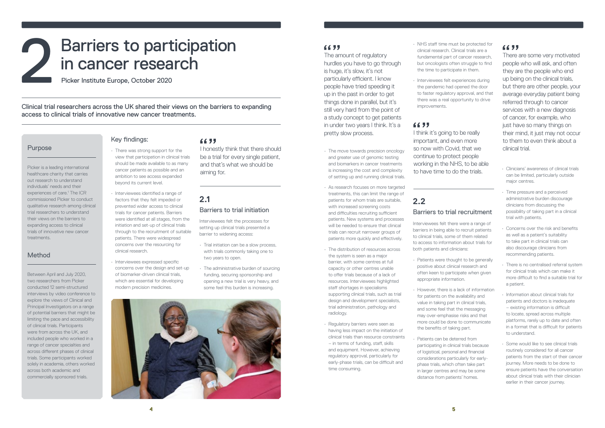### Key findings:

- There was strong support for the view that participation in clinical trials should be made available to as many cancer patients as possible and an ambition to see access expanded beyond its current level.
- Interviewees identified a range of factors that they felt impeded or prevented wider access to clinical trials for cancer patients. Barriers were identified at all stages, from the initiation and set-up of clinical trials through to the recruitment of suitable patients. There were widespread concerns over the resourcing for clinical research.
- Interviewees expressed specific concerns over the design and set-up of biomarker-driven clinical trials, which are essential for developing modern precision medicines.

### 6677

### **2.1**  Barriers to trial initiation

Interviewees felt the processes for setting up clinical trials presented a barrier to widening access:

- Trial initiation can be a slow process, with trials commonly taking one to two years to open.
- The administrative burden of sourcing funding, securing sponsorship and opening a new trial is very heavy, and some feel this burden is increasing.



### 6677

Picker is a leading international healthcare charity that carries out research to understand individuals' needs and their experiences of care.<sup>1</sup> The ICR commissioned Picker to conduct qualitative research among clinical trial researchers to understand their views on the barriers to expanding access to clinical trials of innovative new cancer treatments.

Between April and July 2020, two researchers from Picker conducted 12 semi-structured interviews by video conference to explore the views of Clinical and Principal Investigators on a range of potential barriers that might be limiting the pace and accessibility of clinical trials. Participants were from across the UK, and included people who worked in a range of cancer specialties and across different phases of clinical trials. Some participants worked solely in academia, others worked across both academic and commercially sponsored trials.

### Purpose

# Barriers to participation<br>in cancer research

Picker Institute Europe, October 2020

Clinical trial researchers across the UK shared their views on the barriers to expanding access to clinical trials of innovative new cancer treatments.

### Method

- The move towards precision oncology and greater use of genomic testing and biomarkers in cancer treatments is increasing the cost and complexity of setting up and running clinical trials.
- As research focuses on more targeted treatments, this can limit the range of patients for whom trials are suitable, with increased screening costs and difficulties recruiting sufficient patients. New systems and processes will be needed to ensure that clinical trials can recruit narrower groups of patients more quickly and effectively.
- The distribution of resources across the system is seen as a major barrier, with some centres at full capacity or other centres unable to offer trials because of a lack of resources. Interviewees highlighted staff shortages in specialisms supporting clinical trials, such as trial design and development specialists, trial administration, pathology and radiology.
- Regulatory barriers were seen as having less impact on the initiation of clinical trials than resource constraints – in terms of funding, staff, skills and equipment. However, achieving regulatory approval, particularly for early-phase trials, can be difficult and time consuming.

I think it's going to be really important, and even more so now with Covid, that we continue to protect people working in the NHS, to be able to have time to do the trials.

- NHS staff time must be protected for clinical research. Clinical trials are a fundamental part of cancer research, but oncologists often struggle to find the time to participate in them.
- Interviewees felt experiences during the pandemic had opened the door to faster regulatory approval, and that there was a real opportunity to drive improvements.

### 6677

## **2.2**

### Barriers to trial recruitment

### 6699

Interviewees felt there were a range of barriers in being able to recruit patients to clinical trials, some of them related to access to information about trials for both patients and clinicians:

- Patients were thought to be generally positive about clinical research and often keen to participate when given appropriate information.
- However, there is a lack of information for patients on the availability and value in taking part in clinical trials, and some feel that the messaging may over-emphasise risks and that more could be done to communicate the benefits of taking part.
- Patients can be deterred from participating in clinical trials because of logistical, personal and financial considerations particularly for earlyphase trials, which often take part in larger centres and may be some distance from patients' homes.
- Clinicians' awareness of clinical trials can be limited, particularly outside major centres.
- Time pressure and a perceived administrative burden discourage clinicians from discussing the possibility of taking part in a clinical trial with patients.
- Concerns over the risk and benefits as well as a patient's suitability to take part in clinical trials can also discourage clinicians from recommending patients.
- There is no centralised referral system for clinical trials which can make it more difficult to find a suitable trial for a patient.
- Information about clinical trials for patients and doctors is inadequate – existing information is difficult to locate, spread across multiple platforms, rarely up to date and often in a format that is difficult for patients to understand.
- Some would like to see clinical trials routinely considered for all cancer patients from the start of their cancer journey. More needs to be done to ensure patients have the conversation about clinical trials with their clinician earlier in their cancer journey.

I honestly think that there should be a trial for every single patient, and that's what we should be aiming for.

The amount of regulatory hurdles you have to go through is huge, it's slow, it's not particularly efficient. I know people have tried speeding it up in the past in order to get things done in parallel, but it's still very hard from the point of a study concept to get patients in under two years I think. It's a pretty slow process.

There are some very motivated people who will ask, and often they are the people who end up being on the clinical trials, but there are other people, your average everyday patient being referred through to cancer services with a new diagnosis of cancer, for example, who just have so many things on their mind, it just may not occur to them to even think about a clinical trial.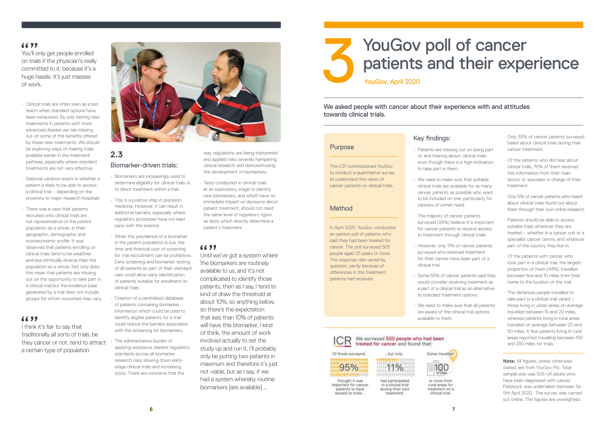- Clinical trials are often seen as a last resort when standard options have been exhausted. By only testing new treatments in patients with more advanced disease we risk missing out on some of the benefits offered by these new treatments. We should be exploring ways of making trials available earlier in the treatment pathway, especially where standard treatments are not very effective.
- National variation exists in whether a patient is likely to be able to access a clinical trial – depending on the proximity to major research hospitals
- There was a view that patients recruited onto clinical trials are not representative of the patient population as a whole, in their geographic, demographic and socioeconomic profile. It was observed that patients enrolling on clinical trials tend to be wealthier and less ethnically diverse than the population as a whole. Not only does this mean that patients are missing out on the opportunity to take part in a clinical trial but the evidence base generated by a trial does not include groups for whom outcomes may vary.

### 6677

### **2.3** Biomarker-driven trials:

- Biomarkers are increasingly used to determine eligibility for clinical trials or to direct treatment within a trial.
- This is a positive step in precision medicine. However, it can result in additional barriers, especially where regulatory processes have not kept pace with the science.
- When the prevalence of a biomarker in the patient population is low, the time and financial cost of screening for trial recruitment can be prohibitive. Early screening and biomarker testing of all patients as part of their standard care could allow early identification of patients suitable for enrolment on clinical trials.
- Creation of a centralised database of patients containing biomarker information which could be used to identify eligible patients for a trial could reduce the barriers associated with the screening for biomarkers.
- The administrative burden of applying excessive, blanket regulatory standards across all biomarker research risks slowing down earlystage clinical trials and increasing costs. There are concerns that the

I think it's fair to say that traditionally all sorts of trials, be they cancer or not, tend to attract a certain type of population.



way regulations are being interpreted and applied risks severely hampering clinical research and disincentivising the development of biomarkers.

• Tests conducted in clinical trials at an exploratory stage to identify new biomarkers, and which have no immediate impact on decisions about patient treatment, should not need the same level of regulatory rigour as tests which directly determine a patient's treatment.

### 6677

### 6699

You'll only get people enrolled on trials if the physician's really committed to it, because it's a huge hassle. It's just masses of work.

> **Note:** All figures, unless otherwise stated, are from YouGov Plc. Total sample size was 505 UK adults who have been diagnosed with cancer. Fieldwork was undertaken between 1st - 5th April 2020. The survey was carried out online. The figures are unweighted.

• the biomarkers are routinely Until we've got a system where available to us, and it's not complicated to identify those patients, then as I say, I tend to kind of draw the threshold at about 10%, so anything below, so there's the expectation that less than 10% of patients will have this biomarker, I kind of think, the amount of work involved actually to set the study up and run it, I'll probably only be putting two patients in maximum and therefore it's just not viable, but as I say, if we had a system whereby routine biomarkers [are available] …

## YouGov poll of cancer<br>patients and their experience YouGov, April 2020

### Key findings:

- Patients are missing out on being part of, and hearing about, clinical trials even though there is a high inclination to take part in them.
- We need to make sure that suitable clinical trials are available for as many cancer patients as possible who want to be included on one, particularly for cancers of unmet need.
- The majority of cancer patients surveyed (95%) believe it is important for cancer patients to receive access to treatment through clinical trials.
- However, only 11% of cancer patients surveyed who received treatment for their cancer have been part of a clinical trial.
- Some 63% of cancer patients said they would consider receiving treatment as a part of a clinical trial as an alternative to standard treatment options.
- We need to make sure that all patients are aware of the clinical trial options available to them.

### **ICR** We surveyed 500 people who had been treated for cancer and found that:

..but only

11%





had participated in a clinical trial during their own treatment.

rural areas for treatment on a clinical trial.

Some travelled

100

or more from

- Only 35% of cancer patients surveyed heard about clinical trials during their cancer treatment.
- Of the patients who did hear about clinical trials, 70% of them received this information from their main doctor or specialist in charge of their treatment.
- Only 5% of cancer patients who heard about clinical trials found out about them through their own online research.
- Patients should be able to access suitable trials wherever they are treated – whether in a cancer unit or a specialist cancer centre, and whatever part of the country they live in.
- Of the patients with cancer who took part in a clinical trial, the largest proportion of them (44%) travelled between five and 10 miles from their home to the location of the trial.
- The distances people travelled to take part in a clinical trial varied – those living in urban areas on average travelled between 10 and 20 miles, whereas patients living in rural areas travelled on average between 20 and 50 miles. A few patients living in rural areas reported travelling between 100 and 200 miles for trials.

The ICR commissioned YouGov to conduct a quantitative survey to understand the views of cancer patients on clinical trials.

In April 2020, YouGov conducted an opinion poll of patients who said they had been treated for cancer. The poll surveyed 505 people aged 25 years or more. The response rate varied by question, partly because of differences in the treatment patients had received.

### Purpose

### Method

We asked people with cancer about their experience with and attitudes towards clinical trials.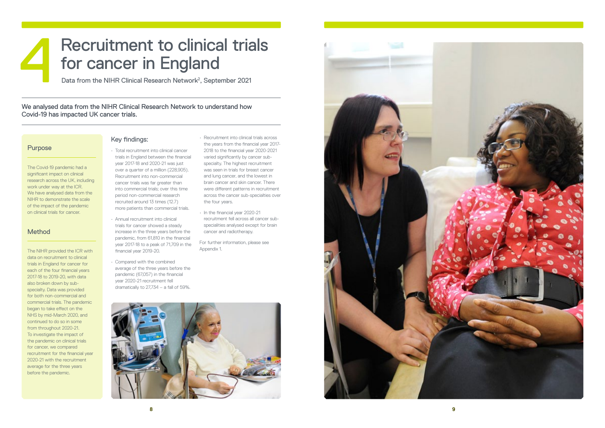### Key findings:

- Total recruitment into clinical cancer trials in England between the financial year 2017-18 and 2020-21 was just over a quarter of a million (228,905). Recruitment into non-commercial cancer trials was far greater than into commercial trials; over this time period non-commercial research recruited around 13 times (12.7) more patients than commercial trials.
- Annual recruitment into clinical trials for cancer showed a steady increase in the three years before the pandemic, from 61,810 in the financial year 2017-18 to a peak of 71,709 in the financial year 2019-20.
- Compared with the combined average of the three years before the pandemic (67,057) in the financial year 2020-21 recruitment fell dramatically to 27,734 – a fall of 59%.

## Recruitment to clinical trials for cancer in England

Data from the NIHR Clinical Research Network<sup>2</sup>, September 2021

• Recruitment into clinical trials across the years from the financial year 2017- 2018 to the financial year 2020-2021 varied significantly by cancer subspecialty. The highest recruitment was seen in trials for breast cancer and lung cancer, and the lowest in brain cancer and skin cancer. There were different patterns in recruitment across the cancer sub-specialties over the four years.

• In the financial year 2020-21 recruitment fell across all cancer subspecialities analysed except for brain cancer and radiotherapy.

For further information, please see Appendix 1.





The Covid-19 pandemic had a significant impact on clinical research across the UK, including work under way at the ICR. We have analysed data from the NIHR to demonstrate the scale of the impact of the pandemic on clinical trials for cancer.

The NIHR provided the ICR with data on recruitment to clinical trials in England for cancer for each of the four financial years 2017-18 to 2019-20, with data also broken down by subspecialty. Data was provided for both non-commercial and commercial trials. The pandemic began to take effect on the NHS by mid-March 2020, and continued to do so in some from throughout 2020-21. To investigate the impact of the pandemic on clinical trials for cancer, we compared recruitment for the financial year 2020-21 with the recruitment average for the three years before the pandemic.

### Purpose

### Method

We analysed data from the NIHR Clinical Research Network to understand how Covid-19 has impacted UK cancer trials.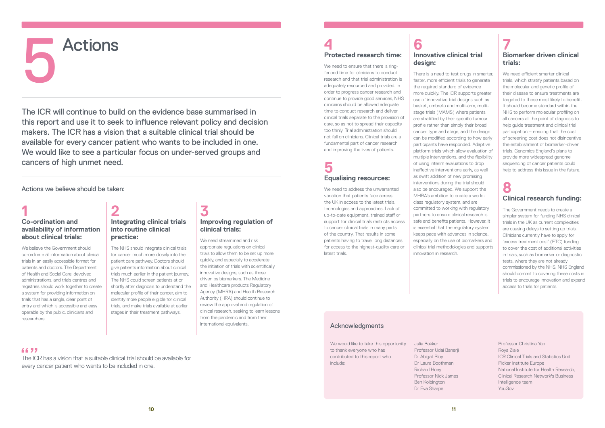### **8 Clinical research funding:**

The Government needs to create a simpler system for funding NHS clinical trials in the UK as current complexities are causing delays to setting up trials. Clinicians currently have to apply for 'excess treatment cost' (ETC) funding to cover the cost of additional activities in trials, such as biomarker or diagnostic tests, where they are not already commissioned by the NHS. NHS England should commit to covering these costs in trials to encourage innovation and expand access to trials for patients.

### **4 Protected research time:**

We need to ensure that there is ringfenced time for clinicians to conduct research and that trial administration is adequately resourced and provided. In order to progress cancer research and continue to provide good services, NHS clinicians should be allowed adequate time to conduct research and deliver clinical trials separate to the provision of care, so as not to spread their capacity too thinly. Trial administration should not fall on clinicians. Clinical trials are a fundamental part of cancer research and improving the lives of patients.

### **5 Equalising resources:**

We need to address the unwarranted variation that patients face across the UK in access to the latest trials, technologies and approaches. Lack of up-to-date equipment, trained staff or support for clinical trials restricts access to cancer clinical trials in many parts of the country. That results in some patients having to travel long distances for access to the highest-quality care or latest trials.

### **7 Biomarker driven clinical trials:**

We would like to take this opportunity to thank everyone who has contributed to this report who include:

We need efficient smarter clinical trials, which stratify patients based on the molecular and genetic profile of their disease to ensure treatments are targeted to those most likely to benefit. It should become standard within the NHS to perform molecular profiling on all cancers at the point of diagnosis to help guide treatment and clinical trial participation – ensuing that the cost of screening cost does not disincentive the establishment of biomarker-driven trials. Genomics England's plans to provide more widespread genome sequencing of cancer patients could help to address this issue in the future.

We believe the Government should co-ordinate all information about clinical trials in an easily accessible format for patients and doctors. The Department of Health and Social Care, devolved administrations, and trials centres and registries should work together to create a system for providing information on trials that has a single, clear point of entry and which is accessible and easy operable by the public, clinicians and researchers.

### **6 Innovative clinical trial design:**

There is a need to test drugs in smarter, faster, more efficient trials to generate the required standard of evidence more quickly. The ICR supports greater use of innovative trial designs such as basket, umbrella and multi-arm, multistage trials (MAMS) where patients are stratified by their specific tumour profile rather than simply their broad cancer type and stage, and the design can be modified according to how early participants have responded. Adaptive platform trials which allow evaluation of multiple interventions, and the flexibility of using interim evaluations to drop ineffective interventions early, as well as swift addition of new promising interventions during the trial should also be encouraged. We support the MHRA's ambition to create a worldclass regulatory system, and are committed to working with regulatory partners to ensure clinical research is safe and benefits patients. However, it is essential that the regulatory system keeps pace with advances in science, especially on the use of biomarkers and clinical trial methodologies and supports innovation in research.

### Acknowledgments

Julia Bakker Professor Udai Banerji Dr Abigail Bloy Dr Laura Boothman Richard Hoey Professor Nick James Ben Kolbington Dr Eva Sharpe

| Professor Christina Yap                     |
|---------------------------------------------|
| Roya Ziaie                                  |
| ICR Clinical Trials and Statistics Unit     |
| <b>Picker Institute Europe</b>              |
| National Institute for Health Research.     |
| <b>Clinical Research Network's Business</b> |
| Intelligence team                           |
| YOUGOV                                      |
|                                             |

### **1 Co-ordination and availability of information about clinical trials:**

# **Actions**

The ICR will continue to build on the evidence base summarised in this report and use it to seek to influence relevant policy and decision makers. The ICR has a vision that a suitable clinical trial should be available for every cancer patient who wants to be included in one. We would like to see a particular focus on under-served groups and cancers of high unmet need.

### **2 Integrating clinical trials into routine clinical practice:**

The NHS should integrate clinical trials for cancer much more closely into the patient care pathway. Doctors should give patients information about clinical trials much earlier in the patient journey. The NHS could screen patients at or shortly after diagnosis to understand the molecular profile of their cancer, aim to identify more people eligible for clinical trials, and make trials available at earlier stages in their treatment pathways.

### **3 Improving regulation of clinical trials:**

We need streamlined and risk appropriate regulations on clinical trials to allow them to be set up more quickly, and especially to accelerate the initiation of trials with scientifically innovative designs, such as those driven by biomarkers. The Medicine and Healthcare products Regulatory Agency (MHRA) and Health Research Authority (HRA) should continue to review the approval and regulation of clinical research, seeking to learn lessons from the pandemic and from their international equivalents.

Actions we believe should be taken:

The ICR has a vision that a suitable clinical trial should be available for every cancer patient who wants to be included in one.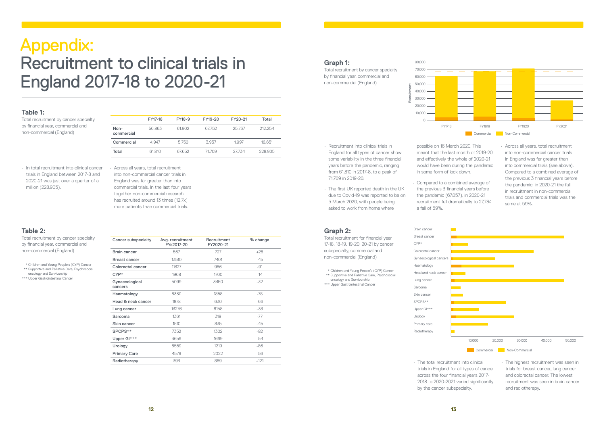### **Table 1:**

Total recruitment by cancer specialty by financial year, commercial and non-commercial (England)

### **Graph 1:**

Total recruitment by cancer specialty by financial year, commercial and non-commercial (England)

### **Graph 2:**

Total recruitment for financial year 17-18, 18-19, 19-20, 20-21 by cancer subspecialty, commercial and non-commercial (England)

### **Table 2:**

Total recruitment by cancer specialty by financial year, commercial and non-commercial (England)

## Appendix: Recruitment to clinical trials in England 2017-18 to 2020-21

| Cancer subspecialty       | Avg. recruitment<br>FYs2017-20 | Recruitment<br>FY2020-21 | % change |
|---------------------------|--------------------------------|--------------------------|----------|
| Brain cancer              | 567                            | 727                      | $+28$    |
| <b>Breast cancer</b>      | 13510                          | 7401                     | $-45$    |
| Colorectal cancer         | 11327                          | 986                      | $-91$    |
| $CYP^*$                   | 1968                           | 1700                     | $-14$    |
| Gynaecological<br>cancers | 5099                           | 3450                     | $-32$    |
| Haematology               | 8330                           | 1858                     | $-78$    |
| Head & neck cancer        | 1878                           | 630                      | -66      |
| Lung cancer               | 13276                          | 8158                     | -38      |
| Sarcoma                   | 1361                           | 319                      | $-77$    |
| Skin cancer               | 1510                           | 835                      | $-45$    |
| SPCPS**                   | 7352                           | 1302                     | $-82$    |
| Upper Gl***               | 3659                           | 1669                     | -54      |
| Urology                   | 8559                           | 1219                     | $-86$    |
| <b>Primary Care</b>       | 4579                           | 2022                     | -56      |
| Radiotherapy              | 393                            | 869                      | $+121$   |

|                    | FY17-18 | FY18-9 | FY19-20 | FY20-21 | Total   |
|--------------------|---------|--------|---------|---------|---------|
| Non-<br>commercial | 56.863  | 61.902 | 67.752  | 25.737  | 212.254 |
| Commercial         | 4.947   | 5.750  | 3.957   | 1.997   | 16.651  |
| Total              | 61.810  | 67.652 | 71.709  | 27.734  | 228,905 |

- In total recruitment into clinical cancer trials in England between 2017-8 and 2020-21 was just over a quarter of a million (228,905).
- Across all years, total recruitment into non-commercial cancer trials in England was far greater than into commercial trials. In the last four years together non-commercial research has recruited around 13 times (12.7x) more patients than commercial trials.

Brain cancer Breast cancer CYP\* Colorectal cancer Gynaecological cancers Haematology Head and neck cancer Lung cancer Sarcoma Skin cancer SPCPS\*\* Upper GI\*\*\* recruitment fell dramatically to 27,734 a fall of 59%.

Urology Primary care Radiotherapy



 \* Children and Young People's (CYP) Cancer \*\* Supportive and Palliative Care, Psychosocial oncology and Survivorship \*\*\* Upper Gastrointestinal Cancer

\* Children and Young People's (CYP) Cancer

 \*\* Supportive and Palliative Care, Psychosocial oncology and Survivorship

\*\*\* Upper Gastrointestinal Cancer

- Recruitment into clinical trials in England for all types of cancer show some variability in the three financial years before the pandemic, ranging from 61,810 in 2017-8, to a peak of 71,709 in 2019-20.
- The first UK reported death in the UK due to Covid-19 was reported to be on 5 March 2020, with people being asked to work from home where

possible on 16 March 2020. This meant that the last month of 2019-20 and effectively the whole of 2020-21 would have been during the pandemic in some form of lock down.

• Compared to a combined average of the previous 3 financial years before the pandemic (67,057), in 2020-21



• Across all years, total recruitment into non-commercial cancer trials in England was far greater than into commercial trials (see above). Compared to a combined average of the previous 3 financial years before the pandemic, in 2020-21 the fall in recruitment in non-commercial trials and commercial trials was the same at 59%.

• The total recruitment into clinical trials in England for all types of cancer across the four financial years 2017- 2018 to 2020-2021 varied significantly by the cancer subspecialty.

• The highest recruitment was seen in trials for breast cancer, lung cancer and colorectal cancer. The lowest recruitment was seen in brain cancer and radiotherapy.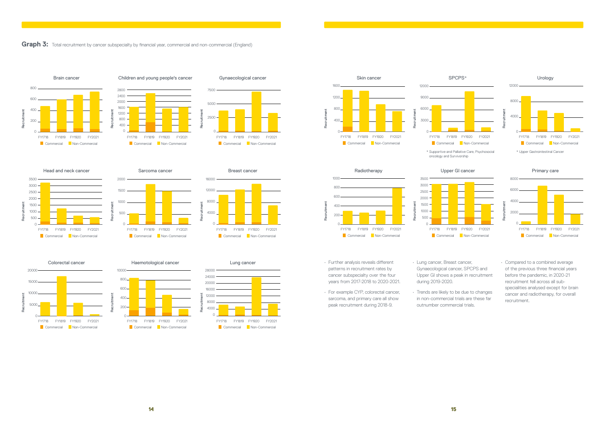



 $600 400 200 -$ 0



8000











Recruitment



 $800 -$ Haemotological cancer







FY1819 FY1920

Commercial | Non-Commercial

FY1819 FY1920

Commercial **Non-Commercial** 

Lung cancer **but all the cancer of the Canadian Contract Contract Contract Contract Contract Contract Contract Contract Contract Contract Contract Contract Contract Contract Contract Contract Contract Contract Contract Con** patterns in recruitment rates by cancer subspecialty over the four years from 2017-2018 to 2020-2021.









FY1718

FY1718



FY2021

 $1000 -$ 800  $600 400$  $200.$ 

 $\circ$ 





- For example CYP, colorectal cancer, sarcoma, and primary care all show peak recruitment during 2018-9.
- Lung cancer, Breast cancer, Gynaecological cancer, SPCPS and Upper GI shows a peak in recruitment during 2019-2020.
- Trends are likely to be due to changes in non-commercial trials are these far outnumber commercial trials.

• Compared to a combined average of the previous three financial years before the pandemic, in 2020-21 recruitment fell across all subspecialities analysed except for brain cancer and radiotherapy, for overall recruitment.

 \* Supportive and Palliative Care, Psychosocial oncology and Survivorship